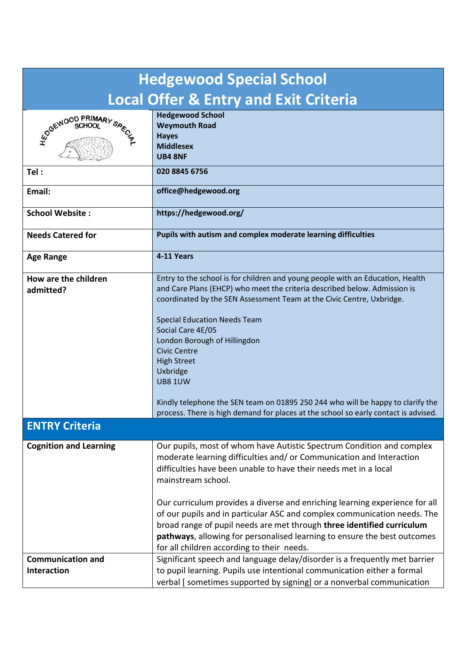| <b>Hedgewood Special School</b>                  |                                                                                                                                                                                                                                                                                                                                                                                                                                                                                                                                                                                              |  |
|--------------------------------------------------|----------------------------------------------------------------------------------------------------------------------------------------------------------------------------------------------------------------------------------------------------------------------------------------------------------------------------------------------------------------------------------------------------------------------------------------------------------------------------------------------------------------------------------------------------------------------------------------------|--|
| <b>Local Offer &amp; Entry and Exit Criteria</b> |                                                                                                                                                                                                                                                                                                                                                                                                                                                                                                                                                                                              |  |
| <b>SORWOOD PRIMARY SARCY</b>                     | <b>Hedgewood School</b><br><b>Weymouth Road</b><br><b>Hayes</b><br><b>Middlesex</b><br><b>UB4 8NF</b>                                                                                                                                                                                                                                                                                                                                                                                                                                                                                        |  |
| Tel:                                             | 020 8845 6756                                                                                                                                                                                                                                                                                                                                                                                                                                                                                                                                                                                |  |
| Email:                                           | office@hedgewood.org                                                                                                                                                                                                                                                                                                                                                                                                                                                                                                                                                                         |  |
| <b>School Website:</b>                           | https://hedgewood.org/                                                                                                                                                                                                                                                                                                                                                                                                                                                                                                                                                                       |  |
| <b>Needs Catered for</b>                         | Pupils with autism and complex moderate learning difficulties                                                                                                                                                                                                                                                                                                                                                                                                                                                                                                                                |  |
| <b>Age Range</b>                                 | 4-11 Years                                                                                                                                                                                                                                                                                                                                                                                                                                                                                                                                                                                   |  |
| How are the children<br>admitted?                | Entry to the school is for children and young people with an Education, Health<br>and Care Plans (EHCP) who meet the criteria described below. Admission is<br>coordinated by the SEN Assessment Team at the Civic Centre, Uxbridge.<br><b>Special Education Needs Team</b><br>Social Care 4E/05<br>London Borough of Hillingdon<br><b>Civic Centre</b><br><b>High Street</b><br><b>Uxbridge</b><br><b>UB8 1UW</b><br>Kindly telephone the SEN team on 01895 250 244 who will be happy to clarify the<br>process. There is high demand for places at the school so early contact is advised. |  |
| <b>ENTRY Criteria</b>                            |                                                                                                                                                                                                                                                                                                                                                                                                                                                                                                                                                                                              |  |
| <b>Cognition and Learning</b>                    | Our pupils, most of whom have Autistic Spectrum Condition and complex<br>moderate learning difficulties and/ or Communication and Interaction<br>difficulties have been unable to have their needs met in a local<br>mainstream school.                                                                                                                                                                                                                                                                                                                                                      |  |
|                                                  | Our curriculum provides a diverse and enriching learning experience for all<br>of our pupils and in particular ASC and complex communication needs. The<br>broad range of pupil needs are met through three identified curriculum<br>pathways, allowing for personalised learning to ensure the best outcomes<br>for all children according to their needs.                                                                                                                                                                                                                                  |  |
| <b>Communication and</b><br>Interaction          | Significant speech and language delay/disorder is a frequently met barrier<br>to pupil learning. Pupils use intentional communication either a formal<br>verbal [ sometimes supported by signing] or a nonverbal communication                                                                                                                                                                                                                                                                                                                                                               |  |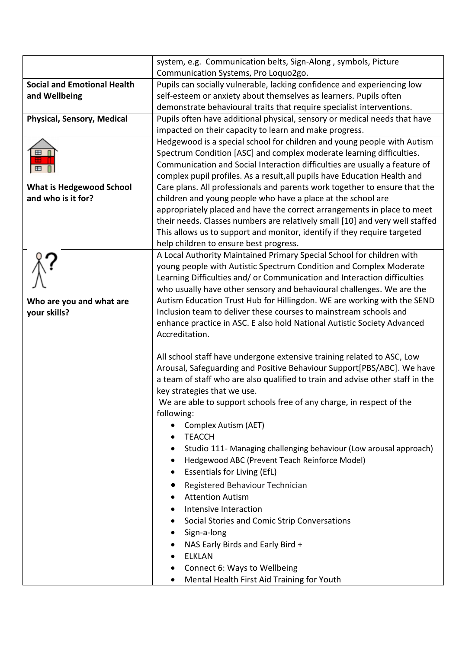|                                                       | system, e.g. Communication belts, Sign-Along, symbols, Picture                                                                                                                                                                                                                                                                                                                                                                                                                                                                                                                                                                                                                                                                                                                                                                                                                                                                                                            |
|-------------------------------------------------------|---------------------------------------------------------------------------------------------------------------------------------------------------------------------------------------------------------------------------------------------------------------------------------------------------------------------------------------------------------------------------------------------------------------------------------------------------------------------------------------------------------------------------------------------------------------------------------------------------------------------------------------------------------------------------------------------------------------------------------------------------------------------------------------------------------------------------------------------------------------------------------------------------------------------------------------------------------------------------|
|                                                       | Communication Systems, Pro Loquo2go.                                                                                                                                                                                                                                                                                                                                                                                                                                                                                                                                                                                                                                                                                                                                                                                                                                                                                                                                      |
| <b>Social and Emotional Health</b>                    | Pupils can socially vulnerable, lacking confidence and experiencing low                                                                                                                                                                                                                                                                                                                                                                                                                                                                                                                                                                                                                                                                                                                                                                                                                                                                                                   |
| and Wellbeing                                         | self-esteem or anxiety about themselves as learners. Pupils often                                                                                                                                                                                                                                                                                                                                                                                                                                                                                                                                                                                                                                                                                                                                                                                                                                                                                                         |
|                                                       | demonstrate behavioural traits that require specialist interventions.                                                                                                                                                                                                                                                                                                                                                                                                                                                                                                                                                                                                                                                                                                                                                                                                                                                                                                     |
| <b>Physical, Sensory, Medical</b>                     | Pupils often have additional physical, sensory or medical needs that have                                                                                                                                                                                                                                                                                                                                                                                                                                                                                                                                                                                                                                                                                                                                                                                                                                                                                                 |
|                                                       | impacted on their capacity to learn and make progress.                                                                                                                                                                                                                                                                                                                                                                                                                                                                                                                                                                                                                                                                                                                                                                                                                                                                                                                    |
| <b>What is Hedgewood School</b><br>and who is it for? | Hedgewood is a special school for children and young people with Autism<br>Spectrum Condition [ASC] and complex moderate learning difficulties.<br>Communication and Social Interaction difficulties are usually a feature of<br>complex pupil profiles. As a result, all pupils have Education Health and<br>Care plans. All professionals and parents work together to ensure that the<br>children and young people who have a place at the school are<br>appropriately placed and have the correct arrangements in place to meet<br>their needs. Classes numbers are relatively small [10] and very well staffed<br>This allows us to support and monitor, identify if they require targeted                                                                                                                                                                                                                                                                           |
|                                                       | help children to ensure best progress.                                                                                                                                                                                                                                                                                                                                                                                                                                                                                                                                                                                                                                                                                                                                                                                                                                                                                                                                    |
| Who are you and what are<br>your skills?              | A Local Authority Maintained Primary Special School for children with<br>young people with Autistic Spectrum Condition and Complex Moderate<br>Learning Difficulties and/or Communication and Interaction difficulties<br>who usually have other sensory and behavioural challenges. We are the<br>Autism Education Trust Hub for Hillingdon. WE are working with the SEND<br>Inclusion team to deliver these courses to mainstream schools and<br>enhance practice in ASC. E also hold National Autistic Society Advanced<br>Accreditation.                                                                                                                                                                                                                                                                                                                                                                                                                              |
|                                                       | All school staff have undergone extensive training related to ASC, Low<br>Arousal, Safeguarding and Positive Behaviour Support[PBS/ABC]. We have<br>a team of staff who are also qualified to train and advise other staff in the<br>key strategies that we use.<br>We are able to support schools free of any charge, in respect of the<br>following:<br>Complex Autism (AET)<br><b>TEACCH</b><br>٠<br>Studio 111- Managing challenging behaviour (Low arousal approach)<br>$\bullet$<br>Hedgewood ABC (Prevent Teach Reinforce Model)<br>$\bullet$<br>Essentials for Living (EfL)<br>$\bullet$<br>Registered Behaviour Technician<br>$\bullet$<br><b>Attention Autism</b><br>٠<br>Intensive Interaction<br>Social Stories and Comic Strip Conversations<br>$\bullet$<br>Sign-a-long<br>$\bullet$<br>NAS Early Birds and Early Bird +<br>٠<br><b>ELKLAN</b><br>٠<br>Connect 6: Ways to Wellbeing<br>$\bullet$<br>Mental Health First Aid Training for Youth<br>$\bullet$ |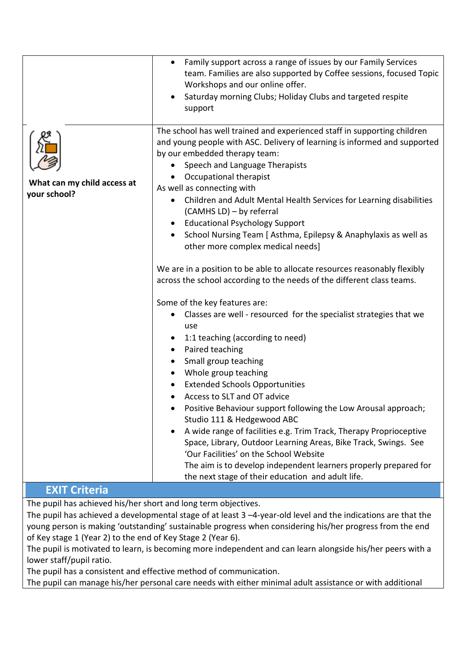|                                             | Family support across a range of issues by our Family Services<br>$\bullet$<br>team. Families are also supported by Coffee sessions, focused Topic<br>Workshops and our online offer.<br>Saturday morning Clubs; Holiday Clubs and targeted respite<br>support                                                                                                                                                                                                                                                                                                                                                                                                                                                                                                                                                                                                                                                                                                                                                                                                                                                                                                                                                                                                                                                                                                                                                                      |
|---------------------------------------------|-------------------------------------------------------------------------------------------------------------------------------------------------------------------------------------------------------------------------------------------------------------------------------------------------------------------------------------------------------------------------------------------------------------------------------------------------------------------------------------------------------------------------------------------------------------------------------------------------------------------------------------------------------------------------------------------------------------------------------------------------------------------------------------------------------------------------------------------------------------------------------------------------------------------------------------------------------------------------------------------------------------------------------------------------------------------------------------------------------------------------------------------------------------------------------------------------------------------------------------------------------------------------------------------------------------------------------------------------------------------------------------------------------------------------------------|
| What can my child access at<br>your school? | The school has well trained and experienced staff in supporting children<br>and young people with ASC. Delivery of learning is informed and supported<br>by our embedded therapy team:<br>Speech and Language Therapists<br>Occupational therapist<br>As well as connecting with<br>Children and Adult Mental Health Services for Learning disabilities<br>٠<br>(CAMHS LD) – by referral<br><b>Educational Psychology Support</b><br>School Nursing Team [ Asthma, Epilepsy & Anaphylaxis as well as<br>other more complex medical needs]<br>We are in a position to be able to allocate resources reasonably flexibly<br>across the school according to the needs of the different class teams.<br>Some of the key features are:<br>Classes are well - resourced for the specialist strategies that we<br>use<br>1:1 teaching (according to need)<br>Paired teaching<br>$\bullet$<br>Small group teaching<br>Whole group teaching<br><b>Extended Schools Opportunities</b><br>Access to SLT and OT advice<br>Positive Behaviour support following the Low Arousal approach;<br>Studio 111 & Hedgewood ABC<br>A wide range of facilities e.g. Trim Track, Therapy Proprioceptive<br>$\bullet$<br>Space, Library, Outdoor Learning Areas, Bike Track, Swings. See<br>'Our Facilities' on the School Website<br>The aim is to develop independent learners properly prepared for<br>the next stage of their education and adult life. |

# **EXIT Criteria**

The pupil has achieved his/her short and long term objectives.

The pupil has achieved a developmental stage of at least 3 –4-year-old level and the indications are that the young person is making 'outstanding' sustainable progress when considering his/her progress from the end of Key stage 1 (Year 2) to the end of Key Stage 2 (Year 6).

The pupil is motivated to learn, is becoming more independent and can learn alongside his/her peers with a lower staff/pupil ratio.

The pupil has a consistent and effective method of communication.

The pupil can manage his/her personal care needs with either minimal adult assistance or with additional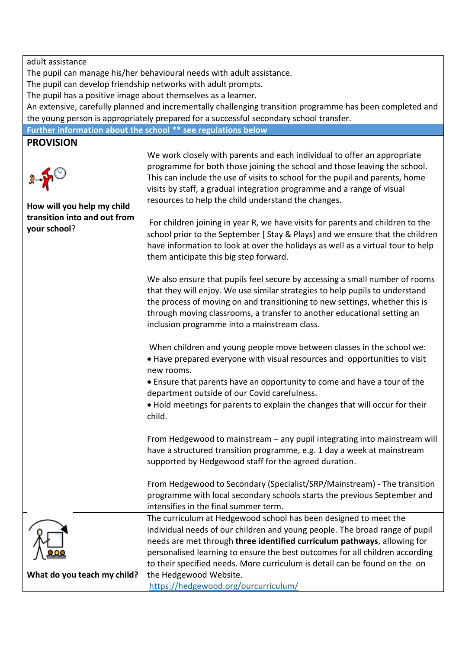#### adult assistance

The pupil can manage his/her behavioural needs with adult assistance.

The pupil can develop friendship networks with adult prompts.

The pupil has a positive image about themselves as a learner.

An extensive, carefully planned and incrementally challenging transition programme has been completed and the young person is appropriately prepared for a successful secondary school transfer.

**Further information about the school \*\* see regulations below**

## **PROVISION**

|--|

**your school**?

**How will you help my child transition into and out from**  We work closely with parents and each individual to offer an appropriate programme for both those joining the school and those leaving the school. This can include the use of visits to school for the pupil and parents, home visits by staff, a gradual integration programme and a range of visual resources to help the child understand the changes.

For children joining in year R, we have visits for parents and children to the school prior to the September [ Stay & Plays] and we ensure that the children have information to look at over the holidays as well as a virtual tour to help them anticipate this big step forward.

We also ensure that pupils feel secure by accessing a small number of rooms that they will enjoy. We use similar strategies to help pupils to understand the process of moving on and transitioning to new settings, whether this is through moving classrooms, a transfer to another educational setting an inclusion programme into a mainstream class.

When children and young people move between classes in the school we: Have prepared everyone with visual resources and opportunities to visit new rooms.

 Ensure that parents have an opportunity to come and have a tour of the department outside of our Covid carefulness.

 Hold meetings for parents to explain the changes that will occur for their child.

From Hedgewood to mainstream – any pupil integrating into mainstream will have a structured transition programme, e.g. 1 day a week at mainstream supported by Hedgewood staff for the agreed duration.

From Hedgewood to Secondary (Specialist/SRP/Mainstream) - The transition programme with local secondary schools starts the previous September and intensifies in the final summer term.

individual needs of our children and young people. The broad range of pupil needs are met through **three identified curriculum pathways**, allowing for personalised learning to ensure the best outcomes for all children according to their specified needs. More curriculum is detail can be found on the on

The curriculum at Hedgewood school has been designed to meet the

**What do you teach my child?** 

<https://hedgewood.org/ourcurriculum/>

the Hedgewood Website.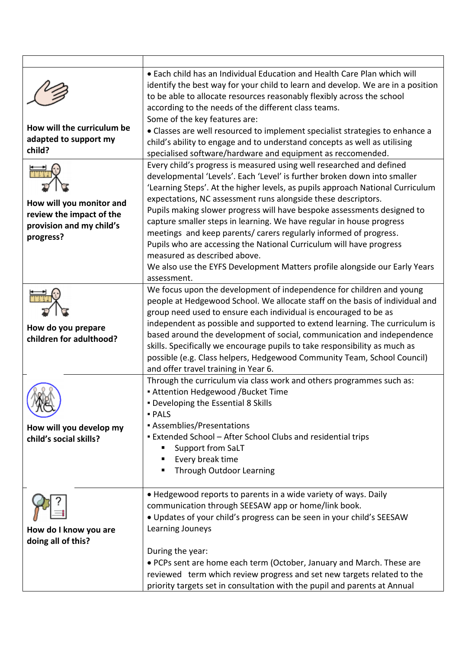|                            | • Each child has an Individual Education and Health Care Plan which will                        |
|----------------------------|-------------------------------------------------------------------------------------------------|
|                            | identify the best way for your child to learn and develop. We are in a position                 |
|                            | to be able to allocate resources reasonably flexibly across the school                          |
|                            | according to the needs of the different class teams.                                            |
|                            | Some of the key features are:                                                                   |
| How will the curriculum be | • Classes are well resourced to implement specialist strategies to enhance a                    |
| adapted to support my      | child's ability to engage and to understand concepts as well as utilising                       |
| child?                     | specialised software/hardware and equipment as reccomended.                                     |
|                            | Every child's progress is measured using well researched and defined                            |
|                            | developmental 'Levels'. Each 'Level' is further broken down into smaller                        |
|                            | 'Learning Steps'. At the higher levels, as pupils approach National Curriculum                  |
|                            | expectations, NC assessment runs alongside these descriptors.                                   |
| How will you monitor and   | Pupils making slower progress will have bespoke assessments designed to                         |
| review the impact of the   | capture smaller steps in learning. We have regular in house progress                            |
| provision and my child's   | meetings and keep parents/ carers regularly informed of progress.                               |
| progress?                  | Pupils who are accessing the National Curriculum will have progress                             |
|                            | measured as described above.                                                                    |
|                            | We also use the EYFS Development Matters profile alongside our Early Years                      |
|                            | assessment.                                                                                     |
|                            | We focus upon the development of independence for children and young                            |
|                            | people at Hedgewood School. We allocate staff on the basis of individual and                    |
|                            | group need used to ensure each individual is encouraged to be as                                |
| How do you prepare         | independent as possible and supported to extend learning. The curriculum is                     |
| children for adulthood?    | based around the development of social, communication and independence                          |
|                            | skills. Specifically we encourage pupils to take responsibility as much as                      |
|                            | possible (e.g. Class helpers, Hedgewood Community Team, School Council)                         |
|                            | and offer travel training in Year 6.                                                            |
|                            | Through the curriculum via class work and others programmes such as:                            |
|                            | • Attention Hedgewood /Bucket Time                                                              |
|                            | • Developing the Essential 8 Skills                                                             |
|                            | - PALS                                                                                          |
| How will you develop my    | • Assemblies/Presentations<br><b>Extended School - After School Clubs and residential trips</b> |
| child's social skills?     | Support from SaLT                                                                               |
|                            | Every break time                                                                                |
|                            | Through Outdoor Learning                                                                        |
|                            |                                                                                                 |
|                            | • Hedgewood reports to parents in a wide variety of ways. Daily                                 |
|                            | communication through SEESAW app or home/link book.                                             |
|                            | . Updates of your child's progress can be seen in your child's SEESAW                           |
| How do I know you are      | Learning Jouneys                                                                                |
| doing all of this?         |                                                                                                 |
|                            | During the year:                                                                                |
|                            | • PCPs sent are home each term (October, January and March. These are                           |
|                            | reviewed term which review progress and set new targets related to the                          |
|                            | priority targets set in consultation with the pupil and parents at Annual                       |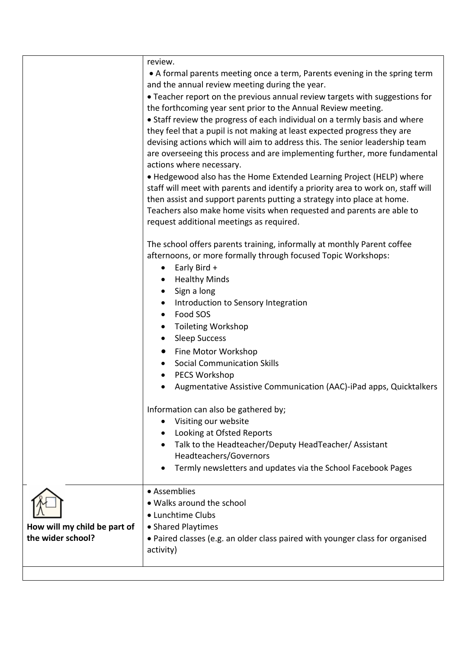|                                                   | review.<br>• A formal parents meeting once a term, Parents evening in the spring term<br>and the annual review meeting during the year.<br>• Teacher report on the previous annual review targets with suggestions for<br>the forthcoming year sent prior to the Annual Review meeting.<br>• Staff review the progress of each individual on a termly basis and where<br>they feel that a pupil is not making at least expected progress they are<br>devising actions which will aim to address this. The senior leadership team<br>are overseeing this process and are implementing further, more fundamental<br>actions where necessary.<br>. Hedgewood also has the Home Extended Learning Project (HELP) where<br>staff will meet with parents and identify a priority area to work on, staff will<br>then assist and support parents putting a strategy into place at home.<br>Teachers also make home visits when requested and parents are able to<br>request additional meetings as required.<br>The school offers parents training, informally at monthly Parent coffee<br>afternoons, or more formally through focused Topic Workshops:<br>Early Bird +<br>$\bullet$<br><b>Healthy Minds</b><br>Sign a long<br>Introduction to Sensory Integration<br>Food SOS<br>$\bullet$<br><b>Toileting Workshop</b><br><b>Sleep Success</b><br>Fine Motor Workshop<br>$\bullet$<br><b>Social Communication Skills</b><br>PECS Workshop<br>Augmentative Assistive Communication (AAC)-iPad apps, Quicktalkers<br>Information can also be gathered by;<br>Visiting our website<br>Looking at Ofsted Reports<br>Talk to the Headteacher/Deputy HeadTeacher/ Assistant |
|---------------------------------------------------|-------------------------------------------------------------------------------------------------------------------------------------------------------------------------------------------------------------------------------------------------------------------------------------------------------------------------------------------------------------------------------------------------------------------------------------------------------------------------------------------------------------------------------------------------------------------------------------------------------------------------------------------------------------------------------------------------------------------------------------------------------------------------------------------------------------------------------------------------------------------------------------------------------------------------------------------------------------------------------------------------------------------------------------------------------------------------------------------------------------------------------------------------------------------------------------------------------------------------------------------------------------------------------------------------------------------------------------------------------------------------------------------------------------------------------------------------------------------------------------------------------------------------------------------------------------------------------------------------------------------------------------------------------------------|
|                                                   | Headteachers/Governors<br>Termly newsletters and updates via the School Facebook Pages                                                                                                                                                                                                                                                                                                                                                                                                                                                                                                                                                                                                                                                                                                                                                                                                                                                                                                                                                                                                                                                                                                                                                                                                                                                                                                                                                                                                                                                                                                                                                                            |
| How will my child be part of<br>the wider school? | • Assemblies<br>• Walks around the school<br>• Lunchtime Clubs<br>• Shared Playtimes<br>• Paired classes (e.g. an older class paired with younger class for organised<br>activity)                                                                                                                                                                                                                                                                                                                                                                                                                                                                                                                                                                                                                                                                                                                                                                                                                                                                                                                                                                                                                                                                                                                                                                                                                                                                                                                                                                                                                                                                                |
|                                                   |                                                                                                                                                                                                                                                                                                                                                                                                                                                                                                                                                                                                                                                                                                                                                                                                                                                                                                                                                                                                                                                                                                                                                                                                                                                                                                                                                                                                                                                                                                                                                                                                                                                                   |